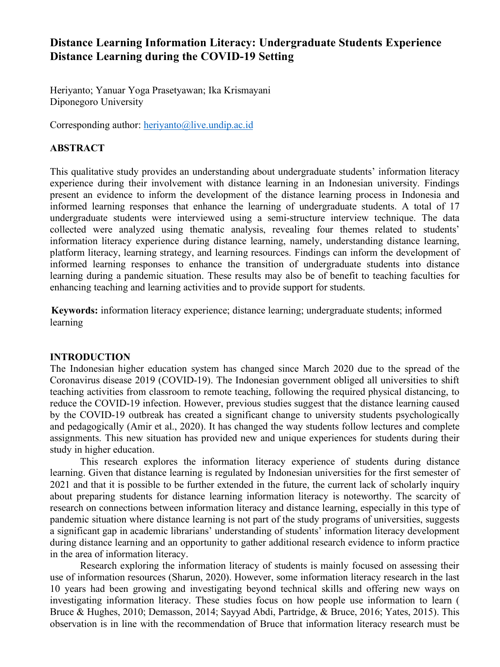# **Distance Learning Information Literacy: Undergraduate Students Experience Distance Learning during the COVID-19 Setting**

Heriyanto; Yanuar Yoga Prasetyawan; Ika Krismayani Diponegoro University

Corresponding author: heriyanto@live.undip.ac.id

# **ABSTRACT**

This qualitative study provides an understanding about undergraduate students' information literacy experience during their involvement with distance learning in an Indonesian university. Findings present an evidence to inform the development of the distance learning process in Indonesia and informed learning responses that enhance the learning of undergraduate students. A total of 17 undergraduate students were interviewed using a semi-structure interview technique. The data collected were analyzed using thematic analysis, revealing four themes related to students' information literacy experience during distance learning, namely, understanding distance learning, platform literacy, learning strategy, and learning resources. Findings can inform the development of informed learning responses to enhance the transition of undergraduate students into distance learning during a pandemic situation. These results may also be of benefit to teaching faculties for enhancing teaching and learning activities and to provide support for students.

**Keywords:** information literacy experience; distance learning; undergraduate students; informed learning

### **INTRODUCTION**

The Indonesian higher education system has changed since March 2020 due to the spread of the Coronavirus disease 2019 (COVID-19). The Indonesian government obliged all universities to shift teaching activities from classroom to remote teaching, following the required physical distancing, to reduce the COVID-19 infection. However, previous studies suggest that the distance learning caused by the COVID-19 outbreak has created a significant change to university students psychologically and pedagogically (Amir et al., 2020). It has changed the way students follow lectures and complete assignments. This new situation has provided new and unique experiences for students during their study in higher education.

This research explores the information literacy experience of students during distance learning. Given that distance learning is regulated by Indonesian universities for the first semester of 2021 and that it is possible to be further extended in the future, the current lack of scholarly inquiry about preparing students for distance learning information literacy is noteworthy. The scarcity of research on connections between information literacy and distance learning, especially in this type of pandemic situation where distance learning is not part of the study programs of universities, suggests a significant gap in academic librarians' understanding of students' information literacy development during distance learning and an opportunity to gather additional research evidence to inform practice in the area of information literacy.

Research exploring the information literacy of students is mainly focused on assessing their use of information resources (Sharun, 2020). However, some information literacy research in the last 10 years had been growing and investigating beyond technical skills and offering new ways on investigating information literacy. These studies focus on how people use information to learn ( Bruce & Hughes, 2010; Demasson, 2014; Sayyad Abdi, Partridge, & Bruce, 2016; Yates, 2015). This observation is in line with the recommendation of Bruce that information literacy research must be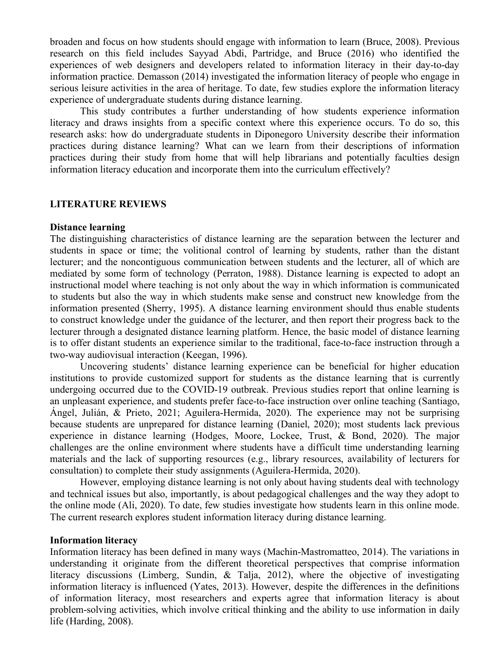broaden and focus on how students should engage with information to learn (Bruce, 2008). Previous research on this field includes Sayyad Abdi, Partridge, and Bruce (2016) who identified the experiences of web designers and developers related to information literacy in their day-to-day information practice. Demasson (2014) investigated the information literacy of people who engage in serious leisure activities in the area of heritage. To date, few studies explore the information literacy experience of undergraduate students during distance learning.

This study contributes a further understanding of how students experience information literacy and draws insights from a specific context where this experience occurs. To do so, this research asks: how do undergraduate students in Diponegoro University describe their information practices during distance learning? What can we learn from their descriptions of information practices during their study from home that will help librarians and potentially faculties design information literacy education and incorporate them into the curriculum effectively?

### **LITERATURE REVIEWS**

#### **Distance learning**

The distinguishing characteristics of distance learning are the separation between the lecturer and students in space or time; the volitional control of learning by students, rather than the distant lecturer; and the noncontiguous communication between students and the lecturer, all of which are mediated by some form of technology (Perraton, 1988). Distance learning is expected to adopt an instructional model where teaching is not only about the way in which information is communicated to students but also the way in which students make sense and construct new knowledge from the information presented (Sherry, 1995). A distance learning environment should thus enable students to construct knowledge under the guidance of the lecturer, and then report their progress back to the lecturer through a designated distance learning platform. Hence, the basic model of distance learning is to offer distant students an experience similar to the traditional, face-to-face instruction through a two-way audiovisual interaction (Keegan, 1996).

Uncovering students' distance learning experience can be beneficial for higher education institutions to provide customized support for students as the distance learning that is currently undergoing occurred due to the COVID-19 outbreak. Previous studies report that online learning is an unpleasant experience, and students prefer face-to-face instruction over online teaching (Santiago, Ángel, Julián, & Prieto, 2021; Aguilera-Hermida, 2020). The experience may not be surprising because students are unprepared for distance learning (Daniel, 2020); most students lack previous experience in distance learning (Hodges, Moore, Lockee, Trust, & Bond, 2020). The major challenges are the online environment where students have a difficult time understanding learning materials and the lack of supporting resources (e.g., library resources, availability of lecturers for consultation) to complete their study assignments (Aguilera-Hermida, 2020).

However, employing distance learning is not only about having students deal with technology and technical issues but also, importantly, is about pedagogical challenges and the way they adopt to the online mode (Ali, 2020). To date, few studies investigate how students learn in this online mode. The current research explores student information literacy during distance learning.

### **Information literacy**

Information literacy has been defined in many ways (Machin-Mastromatteo, 2014). The variations in understanding it originate from the different theoretical perspectives that comprise information literacy discussions (Limberg, Sundin, & Talja, 2012), where the objective of investigating information literacy is influenced (Yates, 2013). However, despite the differences in the definitions of information literacy, most researchers and experts agree that information literacy is about problem-solving activities, which involve critical thinking and the ability to use information in daily life (Harding, 2008).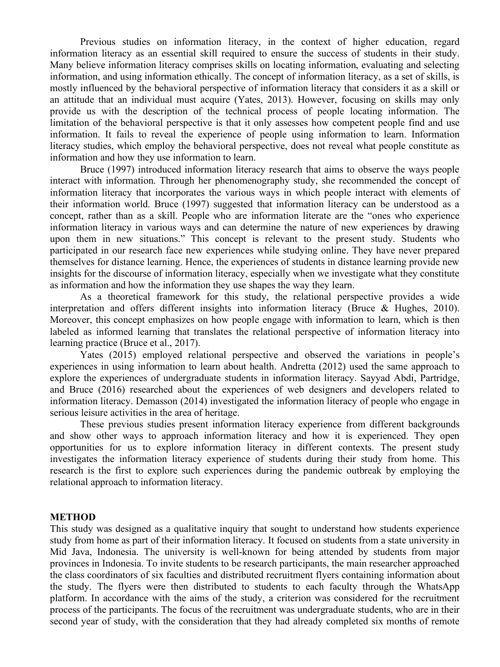Previous studies on information literacy, in the context of higher education, regard information literacy as an essential skill required to ensure the success of students in their study. Many believe information literacy comprises skills on locating information, evaluating and selecting information, and using information ethically. The concept of information literacy, as a set of skills, is mostly influenced by the behavioral perspective of information literacy that considers it as a skill or an attitude that an individual must acquire (Yates, 2013). However, focusing on skills may only provide us with the description of the technical process of people locating information. The limitation of the behavioral perspective is that it only assesses how competent people find and use information. It fails to reveal the experience of people using information to learn. Information literacy studies, which employ the behavioral perspective, does not reveal what people constitute as information and how they use information to learn.

Bruce (1997) introduced information literacy research that aims to observe the ways people interact with information. Through her phenomenography study, she recommended the concept of information literacy that incorporates the various ways in which people interact with elements of their information world. Bruce (1997) suggested that information literacy can be understood as a concept, rather than as a skill. People who are information literate are the "ones who experience information literacy in various ways and can determine the nature of new experiences by drawing upon them in new situations." This concept is relevant to the present study. Students who participated in our research face new experiences while studying online. They have never prepared themselves for distance learning. Hence, the experiences of students in distance learning provide new insights for the discourse of information literacy, especially when we investigate what they constitute as information and how the information they use shapes the way they learn.

As a theoretical framework for this study, the relational perspective provides a wide interpretation and offers different insights into information literacy (Bruce & Hughes, 2010). Moreover, this concept emphasizes on how people engage with information to learn, which is then labeled as informed learning that translates the relational perspective of information literacy into learning practice (Bruce et al., 2017).

Yates (2015) employed relational perspective and observed the variations in people's experiences in using information to learn about health. Andretta (2012) used the same approach to explore the experiences of undergraduate students in information literacy. Sayyad Abdi, Partridge, and Bruce (2016) researched about the experiences of web designers and developers related to information literacy. Demasson (2014) investigated the information literacy of people who engage in serious leisure activities in the area of heritage.

These previous studies present information literacy experience from different backgrounds and show other ways to approach information literacy and how it is experienced. They open opportunities for us to explore information literacy in different contexts. The present study investigates the information literacy experience of students during their study from home. This research is the first to explore such experiences during the pandemic outbreak by employing the relational approach to information literacy.

### **METHOD**

This study was designed as a qualitative inquiry that sought to understand how students experience study from home as part of their information literacy. It focused on students from a state university in Mid Java, Indonesia. The university is well-known for being attended by students from major provinces in Indonesia. To invite students to be research participants, the main researcher approached the class coordinators of six faculties and distributed recruitment flyers containing information about the study. The flyers were then distributed to students to each faculty through the WhatsApp platform. In accordance with the aims of the study, a criterion was considered for the recruitment process of the participants. The focus of the recruitment was undergraduate students, who are in their second year of study, with the consideration that they had already completed six months of remote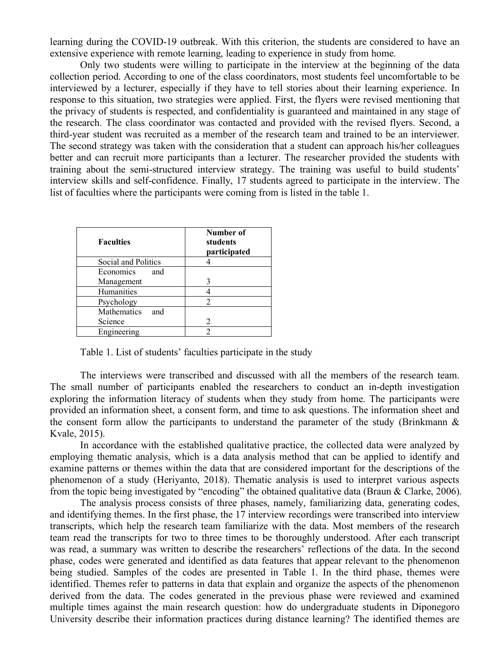learning during the COVID-19 outbreak. With this criterion, the students are considered to have an extensive experience with remote learning, leading to experience in study from home.

Only two students were willing to participate in the interview at the beginning of the data collection period. According to one of the class coordinators, most students feel uncomfortable to be interviewed by a lecturer, especially if they have to tell stories about their learning experience. In response to this situation, two strategies were applied. First, the flyers were revised mentioning that the privacy of students is respected, and confidentiality is guaranteed and maintained in any stage of the research. The class coordinator was contacted and provided with the revised flyers. Second, a third-year student was recruited as a member of the research team and trained to be an interviewer. The second strategy was taken with the consideration that a student can approach his/her colleagues better and can recruit more participants than a lecturer. The researcher provided the students with training about the semi-structured interview strategy. The training was useful to build students' interview skills and self-confidence. Finally, 17 students agreed to participate in the interview. The list of faculties where the participants were coming from is listed in the table 1.

| <b>Faculties</b>        | Number of<br>students<br>participated |
|-------------------------|---------------------------------------|
| Social and Politics     |                                       |
| <b>Economics</b><br>and |                                       |
| Management              | 3                                     |
| Humanities              |                                       |
| Psychology              |                                       |
| Mathematics<br>and      |                                       |
| Science                 | $\mathcal{D}_{\mathcal{L}}$           |
| Engineering             |                                       |

Table 1. List of students' faculties participate in the study

The interviews were transcribed and discussed with all the members of the research team. The small number of participants enabled the researchers to conduct an in-depth investigation exploring the information literacy of students when they study from home. The participants were provided an information sheet, a consent form, and time to ask questions. The information sheet and the consent form allow the participants to understand the parameter of the study (Brinkmann  $\&$ Kvale, 2015).

In accordance with the established qualitative practice, the collected data were analyzed by employing thematic analysis, which is a data analysis method that can be applied to identify and examine patterns or themes within the data that are considered important for the descriptions of the phenomenon of a study (Heriyanto, 2018). Thematic analysis is used to interpret various aspects from the topic being investigated by "encoding" the obtained qualitative data (Braun & Clarke, 2006).

The analysis process consists of three phases, namely, familiarizing data, generating codes, and identifying themes. In the first phase, the 17 interview recordings were transcribed into interview transcripts, which help the research team familiarize with the data. Most members of the research team read the transcripts for two to three times to be thoroughly understood. After each transcript was read, a summary was written to describe the researchers' reflections of the data. In the second phase, codes were generated and identified as data features that appear relevant to the phenomenon being studied. Samples of the codes are presented in Table 1. In the third phase, themes were identified. Themes refer to patterns in data that explain and organize the aspects of the phenomenon derived from the data. The codes generated in the previous phase were reviewed and examined multiple times against the main research question: how do undergraduate students in Diponegoro University describe their information practices during distance learning? The identified themes are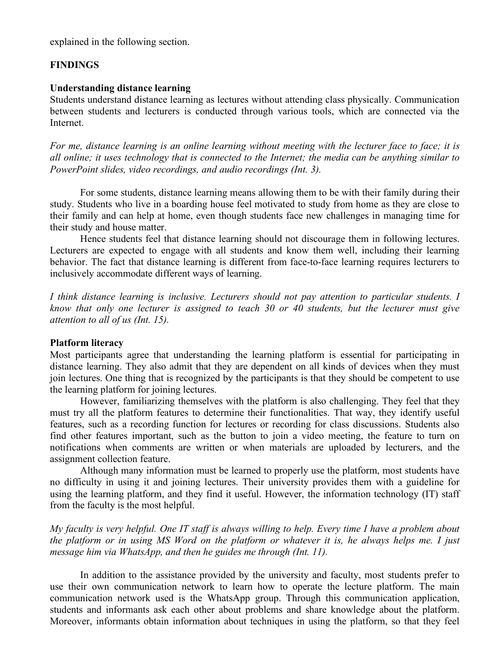explained in the following section.

# **FINDINGS**

### **Understanding distance learning**

Students understand distance learning as lectures without attending class physically. Communication between students and lecturers is conducted through various tools, which are connected via the **Internet** 

*For me, distance learning is an online learning without meeting with the lecturer face to face; it is all online; it uses technology that is connected to the Internet; the media can be anything similar to PowerPoint slides, video recordings, and audio recordings (Int. 3).*

For some students, distance learning means allowing them to be with their family during their study. Students who live in a boarding house feel motivated to study from home as they are close to their family and can help at home, even though students face new challenges in managing time for their study and house matter.

Hence students feel that distance learning should not discourage them in following lectures. Lecturers are expected to engage with all students and know them well, including their learning behavior. The fact that distance learning is different from face-to-face learning requires lecturers to inclusively accommodate different ways of learning.

*I think distance learning is inclusive. Lecturers should not pay attention to particular students. I know that only one lecturer is assigned to teach 30 or 40 students, but the lecturer must give attention to all of us (Int. 15).*

### **Platform literacy**

Most participants agree that understanding the learning platform is essential for participating in distance learning. They also admit that they are dependent on all kinds of devices when they must join lectures. One thing that is recognized by the participants is that they should be competent to use the learning platform for joining lectures.

However, familiarizing themselves with the platform is also challenging. They feel that they must try all the platform features to determine their functionalities. That way, they identify useful features, such as a recording function for lectures or recording for class discussions. Students also find other features important, such as the button to join a video meeting, the feature to turn on notifications when comments are written or when materials are uploaded by lecturers, and the assignment collection feature.

Although many information must be learned to properly use the platform, most students have no difficulty in using it and joining lectures. Their university provides them with a guideline for using the learning platform, and they find it useful. However, the information technology (IT) staff from the faculty is the most helpful.

*My faculty is very helpful. One IT staff is always willing to help. Every time I have a problem about the platform or in using MS Word on the platform or whatever it is, he always helps me. I just message him via WhatsApp, and then he guides me through (Int. 11).*

In addition to the assistance provided by the university and faculty, most students prefer to use their own communication network to learn how to operate the lecture platform. The main communication network used is the WhatsApp group. Through this communication application, students and informants ask each other about problems and share knowledge about the platform. Moreover, informants obtain information about techniques in using the platform, so that they feel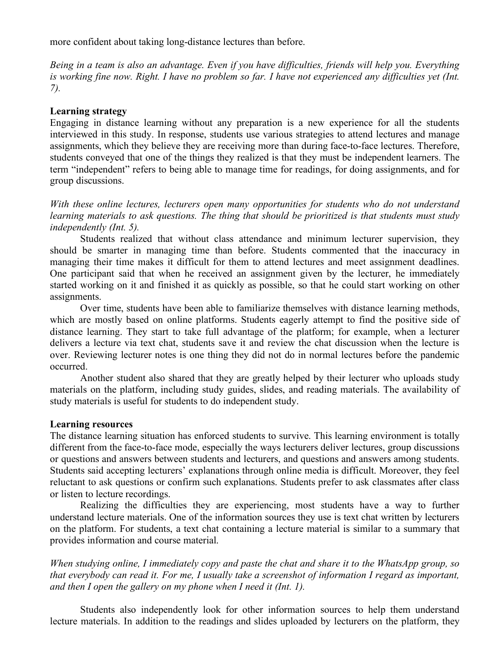more confident about taking long-distance lectures than before.

*Being in a team is also an advantage. Even if you have difficulties, friends will help you. Everything is working fine now. Right. I have no problem so far. I have not experienced any difficulties yet (Int. 7).*

### **Learning strategy**

Engaging in distance learning without any preparation is a new experience for all the students interviewed in this study. In response, students use various strategies to attend lectures and manage assignments, which they believe they are receiving more than during face-to-face lectures. Therefore, students conveyed that one of the things they realized is that they must be independent learners. The term "independent" refers to being able to manage time for readings, for doing assignments, and for group discussions.

*With these online lectures, lecturers open many opportunities for students who do not understand learning materials to ask questions. The thing that should be prioritized is that students must study independently (Int. 5).*

Students realized that without class attendance and minimum lecturer supervision, they should be smarter in managing time than before. Students commented that the inaccuracy in managing their time makes it difficult for them to attend lectures and meet assignment deadlines. One participant said that when he received an assignment given by the lecturer, he immediately started working on it and finished it as quickly as possible, so that he could start working on other assignments.

Over time, students have been able to familiarize themselves with distance learning methods, which are mostly based on online platforms. Students eagerly attempt to find the positive side of distance learning. They start to take full advantage of the platform; for example, when a lecturer delivers a lecture via text chat, students save it and review the chat discussion when the lecture is over. Reviewing lecturer notes is one thing they did not do in normal lectures before the pandemic occurred.

Another student also shared that they are greatly helped by their lecturer who uploads study materials on the platform, including study guides, slides, and reading materials. The availability of study materials is useful for students to do independent study.

### **Learning resources**

The distance learning situation has enforced students to survive. This learning environment is totally different from the face-to-face mode, especially the ways lecturers deliver lectures, group discussions or questions and answers between students and lecturers, and questions and answers among students. Students said accepting lecturers' explanations through online media is difficult. Moreover, they feel reluctant to ask questions or confirm such explanations. Students prefer to ask classmates after class or listen to lecture recordings.

Realizing the difficulties they are experiencing, most students have a way to further understand lecture materials. One of the information sources they use is text chat written by lecturers on the platform. For students, a text chat containing a lecture material is similar to a summary that provides information and course material.

*When studying online, I immediately copy and paste the chat and share it to the WhatsApp group, so that everybody can read it. For me, I usually take a screenshot of information I regard as important, and then I open the gallery on my phone when I need it (Int. 1).*

Students also independently look for other information sources to help them understand lecture materials. In addition to the readings and slides uploaded by lecturers on the platform, they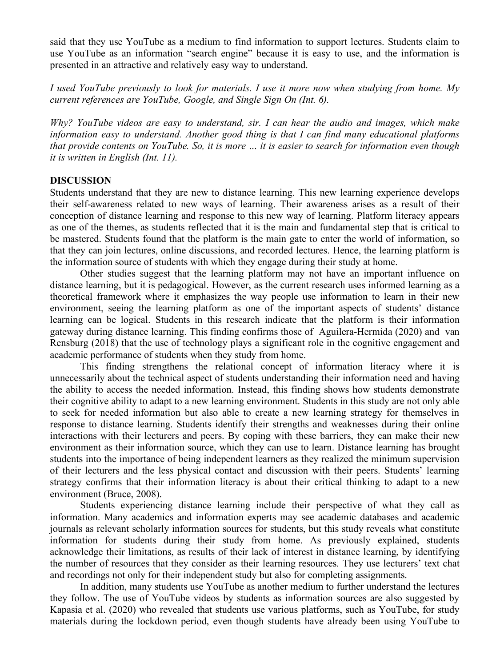said that they use YouTube as a medium to find information to support lectures. Students claim to use YouTube as an information "search engine" because it is easy to use, and the information is presented in an attractive and relatively easy way to understand.

*I used YouTube previously to look for materials. I use it more now when studying from home. My current references are YouTube, Google, and Single Sign On (Int. 6).*

*Why? YouTube videos are easy to understand, sir. I can hear the audio and images, which make information easy to understand. Another good thing is that I can find many educational platforms that provide contents on YouTube. So, it is more … it is easier to search for information even though it is written in English (Int. 11).*

### **DISCUSSION**

Students understand that they are new to distance learning. This new learning experience develops their self-awareness related to new ways of learning. Their awareness arises as a result of their conception of distance learning and response to this new way of learning. Platform literacy appears as one of the themes, as students reflected that it is the main and fundamental step that is critical to be mastered. Students found that the platform is the main gate to enter the world of information, so that they can join lectures, online discussions, and recorded lectures. Hence, the learning platform is the information source of students with which they engage during their study at home.

Other studies suggest that the learning platform may not have an important influence on distance learning, but it is pedagogical. However, as the current research uses informed learning as a theoretical framework where it emphasizes the way people use information to learn in their new environment, seeing the learning platform as one of the important aspects of students' distance learning can be logical. Students in this research indicate that the platform is their information gateway during distance learning. This finding confirms those of Aguilera-Hermida (2020) and van Rensburg (2018) that the use of technology plays a significant role in the cognitive engagement and academic performance of students when they study from home.

This finding strengthens the relational concept of information literacy where it is unnecessarily about the technical aspect of students understanding their information need and having the ability to access the needed information. Instead, this finding shows how students demonstrate their cognitive ability to adapt to a new learning environment. Students in this study are not only able to seek for needed information but also able to create a new learning strategy for themselves in response to distance learning. Students identify their strengths and weaknesses during their online interactions with their lecturers and peers. By coping with these barriers, they can make their new environment as their information source, which they can use to learn. Distance learning has brought students into the importance of being independent learners as they realized the minimum supervision of their lecturers and the less physical contact and discussion with their peers. Students' learning strategy confirms that their information literacy is about their critical thinking to adapt to a new environment (Bruce, 2008).

Students experiencing distance learning include their perspective of what they call as information. Many academics and information experts may see academic databases and academic journals as relevant scholarly information sources for students, but this study reveals what constitute information for students during their study from home. As previously explained, students acknowledge their limitations, as results of their lack of interest in distance learning, by identifying the number of resources that they consider as their learning resources. They use lecturers' text chat and recordings not only for their independent study but also for completing assignments.

In addition, many students use YouTube as another medium to further understand the lectures they follow. The use of YouTube videos by students as information sources are also suggested by Kapasia et al. (2020) who revealed that students use various platforms, such as YouTube, for study materials during the lockdown period, even though students have already been using YouTube to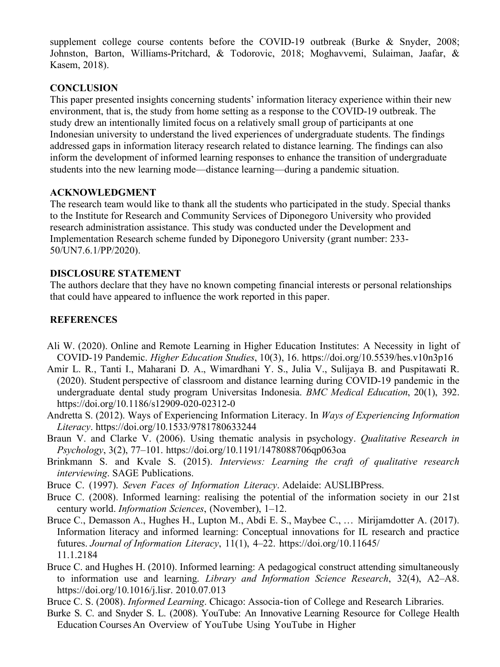supplement college course contents before the COVID-19 outbreak (Burke & Snyder, 2008; Johnston, Barton, Williams-Pritchard, & Todorovic, 2018; Moghavvemi, Sulaiman, Jaafar, & Kasem, 2018).

# **CONCLUSION**

This paper presented insights concerning students' information literacy experience within their new environment, that is, the study from home setting as a response to the COVID-19 outbreak. The study drew an intentionally limited focus on a relatively small group of participants at one Indonesian university to understand the lived experiences of undergraduate students. The findings addressed gaps in information literacy research related to distance learning. The findings can also inform the development of informed learning responses to enhance the transition of undergraduate students into the new learning mode—distance learning—during a pandemic situation.

# **ACKNOWLEDGMENT**

The research team would like to thank all the students who participated in the study. Special thanks to the Institute for Research and Community Services of Diponegoro University who provided research administration assistance. This study was conducted under the Development and Implementation Research scheme funded by Diponegoro University (grant number: 233- 50/UN7.6.1/PP/2020).

# **DISCLOSURE STATEMENT**

The authors declare that they have no known competing financial interests or personal relationships that could have appeared to influence the work reported in this paper.

# **REFERENCES**

- Ali W. (2020). Online and Remote Learning in Higher Education Institutes: A Necessity in light of COVID-19 Pandemic. *Higher Education Studies*, 10(3), 16. https://doi.org/10.5539/hes.v10n3p16
- Amir L. R., Tanti I., Maharani D. A., Wimardhani Y. S., Julia V., Sulijaya B. and Puspitawati R. (2020). Student perspective of classroom and distance learning during COVID-19 pandemic in the undergraduate dental study program Universitas Indonesia. *BMC Medical Education*, 20(1), 392. https://doi.org/10.1186/s12909-020-02312-0
- Andretta S. (2012). Ways of Experiencing Information Literacy. In *Ways of Experiencing Information Literacy*. https://doi.org/10.1533/9781780633244
- Braun V. and Clarke V. (2006). Using thematic analysis in psychology. *Qualitative Research in Psychology*, 3(2), 77–101. https://doi.org/10.1191/1478088706qp063oa
- Brinkmann S. and Kvale S. (2015). *Interviews: Learning the craft of qualitative research interviewing*. SAGE Publications.
- Bruce C. (1997). *Seven Faces of Information Literacy*. Adelaide: AUSLIBPress.
- Bruce C. (2008). Informed learning: realising the potential of the information society in our 21st century world. *Information Sciences*, (November), 1–12.
- Bruce C., Demasson A., Hughes H., Lupton M., Abdi E. S., Maybee C., ... Mirijamdotter A. (2017). Information literacy and informed learning: Conceptual innovations for IL research and practice futures. *Journal of Information Literacy*, 11(1), 4–22. https://doi.org/10.11645/ 11.1.2184
- Bruce C. and Hughes H. (2010). Informed learning: A pedagogical construct attending simultaneously to information use and learning. *Library and Information Science Research*, 32(4), A2–A8. https://doi.org/10.1016/j.lisr. 2010.07.013
- Bruce C. S. (2008). *Informed Learning*. Chicago: Associa-tion of College and Research Libraries.
- Burke S. C. and Snyder S. L. (2008). YouTube: An Innovative Learning Resource for College Health Education Courses An Overview of YouTube Using YouTube in Higher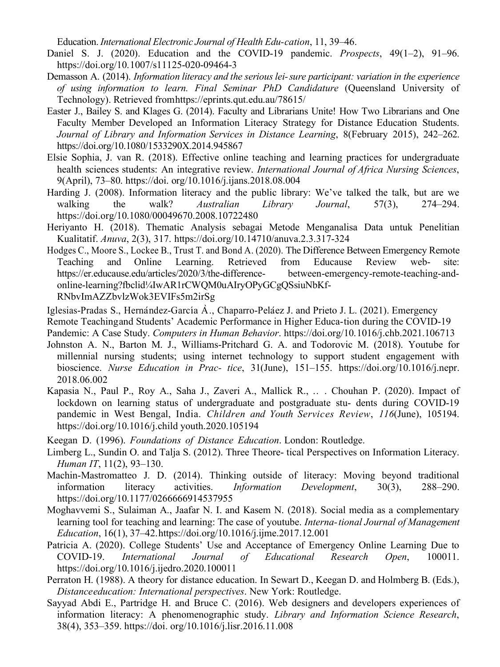Education. *International Electronic Journal of Health Edu-cation*, 11, 39–46.

- Daniel S. J. (2020). Education and the COVID-19 pandemic. *Prospects*, 49(1–2), 91–96. https://doi.org/10.1007/s11125-020-09464-3
- Demasson A. (2014). *Information literacy and the seriouslei-sure participant: variation in the experience of using information to learn. Final Seminar PhD Candidature* (Queensland University of Technology). Retrieved fromhttps://eprints.qut.edu.au/78615/
- Easter J., Bailey S. and Klages G. (2014). Faculty and Librarians Unite! How Two Librarians and One Faculty Member Developed an Information Literacy Strategy for Distance Education Students. *Journal of Library and Information Services in Distance Learning*, 8(February 2015), 242–262. https://doi.org/10.1080/1533290X.2014.945867
- Elsie Sophia, J. van R. (2018). Effective online teaching and learning practices for undergraduate health sciences students: An integrative review. *International Journal of Africa Nursing Sciences*, 9(April), 73–80. https://doi. org/10.1016/j.ijans.2018.08.004
- Harding J. (2008). Information literacy and the public library: We've talked the talk, but are we walking the walk? *Australian Library Journal*, 57(3), 274–294. https://doi.org/10.1080/00049670.2008.10722480
- Heriyanto H. (2018). Thematic Analysis sebagai Metode Menganalisa Data untuk Penelitian Kualitatif. *Anuva*, 2(3), 317. https://doi.org/10.14710/anuva.2.3.317-324
- Hodges C., Moore S., Lockee B., Trust T. and Bond A. (2020). The Difference Between Emergency Remote Teaching and Online Learning. Retrieved from Educause Review web- site: https://er.educause.edu/articles/2020/3/the-difference- between-emergency-remote-teaching-andonline-learning?fbclid¼IwAR1rCWQM0uAIryOPyGCgQSsiuNbKf-RNbvImAZZbvlzWok3EVIFs5m2irSg
- Iglesias-Pradas S., Hernández-García  $\hat{A}$ ., Chaparro-Peláez J. and Prieto J. L. (2021). Emergency
- Remote Teachingand Students' Academic Performance in Higher Educa-tion during the COVID-19
- Pandemic: A Case Study. *Computers in Human Behavior*. https://doi.org/10.1016/j.chb.2021.106713
- Johnston A. N., Barton M. J., Williams-Pritchard G. A. and Todorovic M. (2018). Youtube for millennial nursing students; using internet technology to support student engagement with bioscience. *Nurse Education in Prac- tice*, 31(June), 151–155. https://doi.org/10.1016/j.nepr. 2018.06.002
- Kapasia N., Paul P., Roy A., Saha J., Zaveri A., Mallick R., .. . Chouhan P. (2020). Impact of lockdown on learning status of undergraduate and postgraduate stu- dents during COVID-19 pandemic in West Bengal, India. *Children and Youth Services Review*, *116*(June), 105194. https://doi.org/10.1016/j.child youth.2020.105194
- Keegan D. (1996). *Foundations of Distance Education*. London: Routledge.
- Limberg L., Sundin O. and Talja S. (2012). Three Theore- tical Perspectives on Information Literacy. *Human IT*, 11(2), 93–130.
- Machin-Mastromatteo J. D. (2014). Thinking outside of literacy: Moving beyond traditional information literacy activities. *Information Development*, 30(3), 288–290. https://doi.org/10.1177/0266666914537955
- Moghavvemi S., Sulaiman A., Jaafar N. I. and Kasem N. (2018). Social media as a complementary learning tool for teaching and learning: The case of youtube. *Interna-tional Journal of Management Education*, 16(1), 37–42.https://doi.org/10.1016/j.ijme.2017.12.001
- Patricia A. (2020). College Students' Use and Acceptance of Emergency Online Learning Due to COVID-19. *International Journal of Educational Research Open*, 100011. https://doi.org/10.1016/j.ijedro.2020.100011
- Perraton H. (1988). A theory for distance education. In Sewart D., Keegan D. and Holmberg B. (Eds.), *Distanceeducation: International perspectives*. New York: Routledge.
- Sayyad Abdi E., Partridge H. and Bruce C. (2016). Web designers and developers experiences of information literacy: A phenomenographic study. *Library and Information Science Research*, 38(4), 353–359. https://doi. org/10.1016/j.lisr.2016.11.008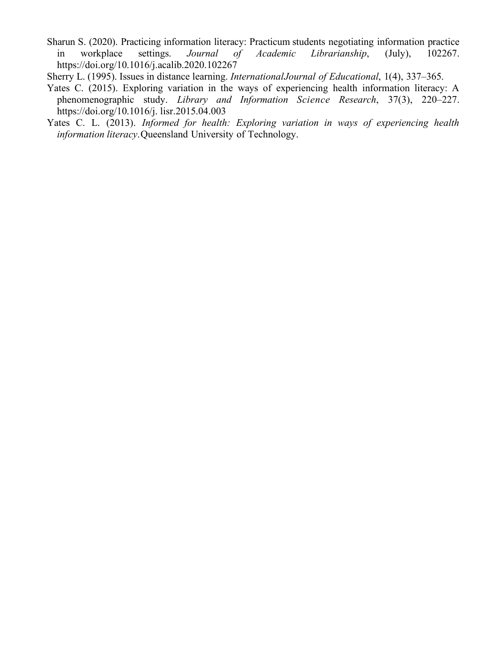Sharun S. (2020). Practicing information literacy: Practicum students negotiating information practice in workplace settings. *Journal of Academic Librarianship*, (July), 102267. https://doi.org/10.1016/j.acalib.2020.102267

Sherry L. (1995). Issues in distance learning. *InternationalJournal of Educational*, 1(4), 337–365.

- Yates C. (2015). Exploring variation in the ways of experiencing health information literacy: A phenomenographic study. *Library and Information Science Research*, 37(3), 220–227. https://doi.org/10.1016/j. lisr.2015.04.003
- Yates C. L. (2013). *Informed for health: Exploring variation in ways of experiencing health information literacy*.Queensland University of Technology.